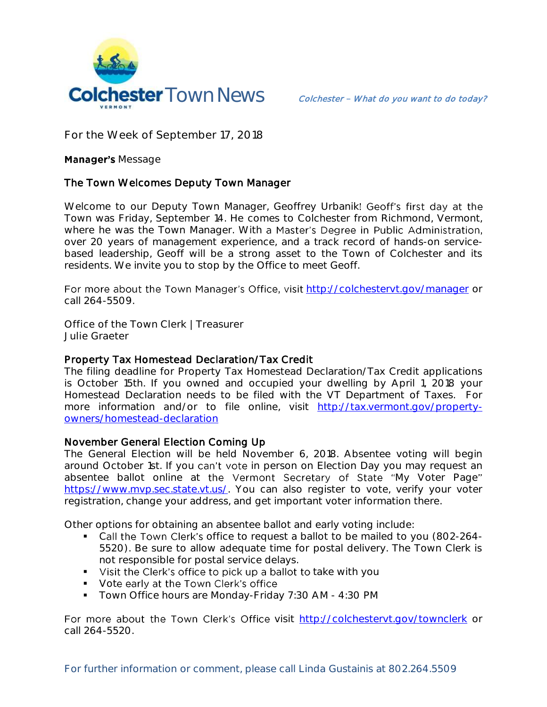

**For the Week of September 17, 2018**

## **Manager's Message**

## The Town Welcomes Deputy Town Manager

Welcome to our Deputy Town Manager, Geoffrey Urbanik! Geoff's first day at the Town was Friday, September 14. He comes to Colchester from Richmond, Vermont, where he was the Town Manager. With a Master's Degree in Public Administration, over 20 years of management experience, and a track record of hands-on servicebased leadership, Geoff will be a strong asset to the Town of Colchester and its residents. We invite you to stop by the Office to meet Geoff.

For more about the Town Manager's Office, visit http://colchesteryt.gov/manager or call 264-5509.

**Office of the Town Clerk | Treasurer Julie Graeter**

## Property Tax Homestead Declaration/Tax Credit

The filing deadline for Property Tax Homestead Declaration/Tax Credit applications is October 15th. If you owned and occupied your dwelling by April 1, 2018 your Homestead Declaration needs to be filed with the VT Department of Taxes. For more information and/or to file online, visit [http://tax.vermont.gov/property](http://tax.vermont.gov/property-owners/homestead-declaration)[owners/homestead-declaration](http://tax.vermont.gov/property-owners/homestead-declaration)

## November General Election Coming Up

The General Election will be held November 6, 2018. Absentee voting will begin around October 1st. If you can't vote in person on Election Day you may request an absentee ballot online at the Vermont Secretary of State "My Voter Page" [https://www.mvp.sec.state.vt.us/.](https://www.mvp.sec.state.vt.us/) You can also register to vote, verify your voter registration, change your address, and get important voter information there.

Other options for obtaining an absentee ballot and early voting include:

- Call the Town Clerk's office to request a ballot to be mailed to you (802-264-5520). Be sure to allow adequate time for postal delivery. The Town Clerk is not responsible for postal service delays.
- visit the Clerk's office to pick up a ballot to take with you
- Vote early at the Town Clerk's office
- **Town Office hours are Monday-Friday 7:30 AM 4:30 PM**

For more about the Town Clerk's Office visit <http://colchestervt.gov/townclerk> or call 264-5520.

For further information or comment, please call Linda Gustainis at 802.264.5509